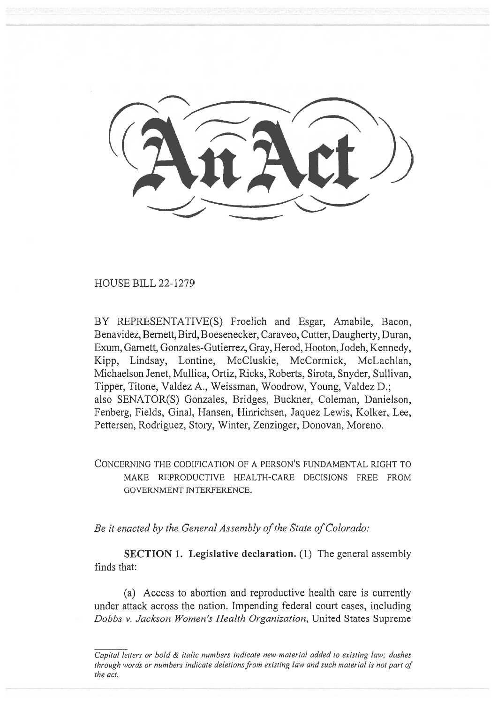HOUSE BILL 22-1279

BY REPRESENTATIVE(S) Froelich and Esgar, Amabile, Bacon, Benavidez, Bernett, Bird, Boesenecker, Caraveo, Cutter, Daugherty, Duran, Exum, Garnett, Gonzales-Gutierrez, Gray, Herod, Hooton, Jodeh, Kennedy, Kipp, Lindsay, Lontine, McCluskie, McCormick, McLachlan, Michaelson Jenet, Mullica, Ortiz, Ricks, Roberts, Sirota, Snyder, Sullivan, Tipper, Titone, Valdez A., Weissman, Woodrow, Young, Valdez D.; also SENATOR(S) Gonzales, Bridges, Buckner, Coleman, Danielson, Fenberg, Fields, Ginal, Hansen, Hinrichsen, Jaquez Lewis, Kolker, Lee, Pettersen, Rodriguez, Story, Winter, Zenzinger, Donovan, Moreno.

CONCERNING THE CODIFICATION OF A PERSON'S FUNDAMENTAL RIGHT TO MAKE REPRODUCTIVE HEALTH-CARE DECISIONS FREE FROM GOVERNMENT INTERFERENCE.

Be it enacted by the General Assembly of the State of Colorado:

SECTION 1. Legislative declaration. (1) The general assembly finds that:

(a) Access to abortion and reproductive health care is currently under attack across the nation. Impending federal court cases, including Dobbs v. Jackson Women's Health Organization, United States Supreme

Capital letters or bold & italic numbers indicate new material added to existing law; dashes through words or numbers indicate deletions from existing law and such material is not part of the act.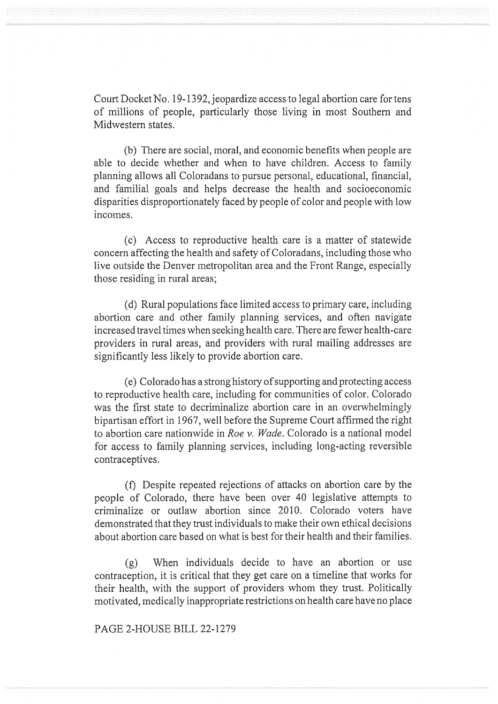Court Docket No. 19-1392, jeopardize access to legal abortion care for tens of millions of people, particularly those living in most Southern and Midwestern states.

(b) There are social, moral, and economic benefits when people are able to decide whether and when to have children. Access to family planning allows all Coloradans to pursue personal, educational, financial, and familial goals and helps decrease the health and socioeconomic disparities disproportionately faced by people of color and people with low incomes.

(c) Access to reproductive health care is a matter of statewide concern affecting the health and safety of Coloradans, including those who live outside the Denver metropolitan area and the Front Range, especially those residing in rural areas;

(d) Rural populations face limited access to primary care, including abortion care and other family planning services, and often navigate increased travel times when seeking health care. There are fewer health-care providers in rural areas, and providers with rural mailing addresses are significantly less likely to provide abortion care.

(e) Colorado has a strong history of supporting and protecting access to reproductive health care, including for communities of color. Colorado was the first state to decriminalize abortion care in an overwhelmingly bipartisan effort in 1967, well before the Supreme Court affirmed the right to abortion care nationwide in Roe v. Wade. Colorado is a national model for access to family planning services, including long-acting reversible contraceptives.

(f) Despite repeated rejections of attacks on abortion care by the people of Colorado, there have been over 40 legislative attempts to criminalize or outlaw abortion since 2010. Colorado voters have demonstrated that they trust individuals to make their own ethical decisions about abortion care based on what is best for their health and their families.

(g) When individuals decide to have an abortion or use contraception, it is critical that they get care on a timeline that works for their health, with the support of providers whom they trust. Politically motivated, medically inappropriate restrictions on health care have no place

## PAGE 2-HOUSE BILL 22-1279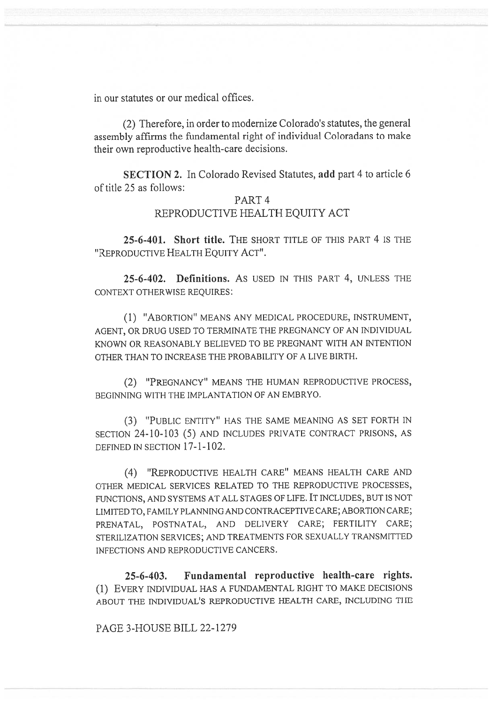in our statutes or our medical offices.

(2) Therefore, in order to modernize Colorado's statutes, the general assembly affirms the fundamental right of individual Coloradans to make their own reproductive health-care decisions.

SECTION 2. In Colorado Revised Statutes, add part 4 to article 6 of title 25 as follows:

## PART 4 REPRODUCTIVE HEALTH EQUITY ACT

25-6-401. Short title. THE SHORT TITLE OF THIS PART 4 IS THE "REPRODUCTIVE HEALTH EQUITY ACT".

25-6-402. Definitions. AS USED IN THIS PART 4, UNLESS THE CONTEXT OTHERWISE REQUIRES:

(1) "ABORTION" MEANS ANY MEDICAL PROCEDURE, INSTRUMENT, AGENT, OR DRUG USED TO TERMINATE THE PREGNANCY OF AN INDIVIDUAL KNOWN OR REASONABLY BELIEVED TO BE PREGNANT WITH AN INTENTION OTHER THAN TO INCREASE THE PROBABILITY OF A LIVE BIRTH.

(2) "PREGNANCY" MEANS THE HUMAN REPRODUCTIVE PROCESS, BEGINNING WITH THE IMPLANTATION OF AN EMBRYO.

(3) "PUBLIC ENTITY" HAS THE SAME MEANING AS SET FORTH IN SECTION 24-10-103 (5) AND INCLUDES PRIVATE CONTRACT PRISONS, AS DEFINED IN SECTION 17-1-102.

(4) "REPRODUCTIVE HEALTH CARE" MEANS HEALTH CARE AND OTHER MEDICAL SERVICES RELATED TO THE REPRODUCTIVE PROCESSES, FUNCTIONS, AND SYSTEMS AT ALL STAGES OF LIFE. IT INCLUDES, BUT IS NOT LIMITED TO, FAMILY PLANNING AND CONTRACEPTIVE CARE; ABORTION CARE; PRENATAL, POSTNATAL, AND DELIVERY CARE; FERTILITY CARE; STERILIZATION SERVICES; AND TREATMENTS FOR SEXUALLY TRANSMITTED INFECTIONS AND REPRODUCTIVE CANCERS.

25-6-403. Fundamental reproductive health-care rights. (1) EVERY INDIVIDUAL HAS A FUNDAMENTAL RIGHT TO MAKE DECISIONS ABOUT THE INDIVIDUAL'S REPRODUCTIVE HEALTH CARE, INCLUDING THE

PAGE 3-HOUSE BILL 22-1279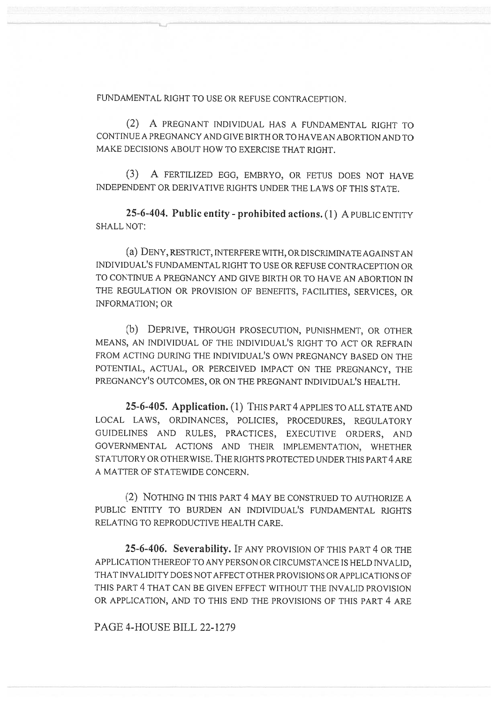FUNDAMENTAL RIGHT TO USE OR REFUSE CONTRACEPTION.

(2) A PREGNANT INDIVIDUAL HAS A FUNDAMENTAL RIGHT TO CONTINUE A PREGNANCY AND GIVE BIRTH OR TO HAVE AN ABORTION AND TO MAKE DECISIONS ABOUT HOW TO EXERCISE THAT RIGHT.

(3) A FERTILIZED EGG, EMBRYO, OR FETUS DOES NOT HAVE INDEPENDENT OR DERIVATIVE RIGHTS UNDER THE LAWS OF THIS STATE.

25-6-404. Public entity - prohibited actions. (1) A PUBLIC ENTITY SHALL NOT:

(a) DENY, RESTRICT, INTERFERE WITH, OR DISCRIMINATE AGAINST AN INDIVIDUAL'S FUNDAMENTAL RIGHT TO USE OR REFUSE CONTRACEPTION OR TO CONTINUE A PREGNANCY AND GIVE BIRTH OR TO HAVE AN ABORTION IN THE REGULATION OR PROVISION OF BENEFITS, FACILITIES, SERVICES, OR INFORMATION; OR

(b) DEPRIVE, THROUGH PROSECUTION, PUNISHMENT, OR OTHER MEANS, AN INDIVIDUAL OF THE INDIVIDUAL'S RIGHT TO ACT OR REFRAIN FROM ACTING DURING THE INDIVIDUAL'S OWN PREGNANCY BASED ON THE POTENTIAL, ACTUAL, OR PERCEIVED IMPACT ON THE PREGNANCY, THE PREGNANCY'S OUTCOMES, OR ON THE PREGNANT INDIVIDUAL'S HEALTH.

25-6-405. Application. (1) THIS PART 4 APPLIES TO ALL STATE AND LOCAL LAWS, ORDINANCES, POLICIES, PROCEDURES, REGULATORY GUIDELINES AND RULES, PRACTICES, EXECUTIVE ORDERS, AND GOVERNMENTAL ACTIONS AND THEIR IMPLEMENTATION, WHETHER STATUTORY OR OTHERWISE. THE RIGHTS PROTECTED UNDER THIS PART 4 ARE A MATTER OF STATEWIDE CONCERN.

(2) NOTHING IN THIS PART 4 MAY BE CONSTRUED TO AUTHORIZE A PUBLIC ENTITY TO BURDEN AN INDIVIDUAL'S FUNDAMENTAL RIGHTS RELATING TO REPRODUCTIVE HEALTH CARE.

25-6-406. Severability. IF ANY PROVISION OF THIS PART 4 OR THE APPLICATION THEREOF TO ANY PERSON OR CIRCUMSTANCE IS HELD INVALID, THAT INVALIDITY DOES NOT AFFECT OTHER PROVISIONS OR APPLICATIONS OF THIS PART 4 THAT CAN BE GIVEN EFFECT WITHOUT THE INVALID PROVISION OR APPLICATION, AND TO THIS END THE PROVISIONS OF THIS PART 4 ARE

PAGE 4-HOUSE BILL 22-1279